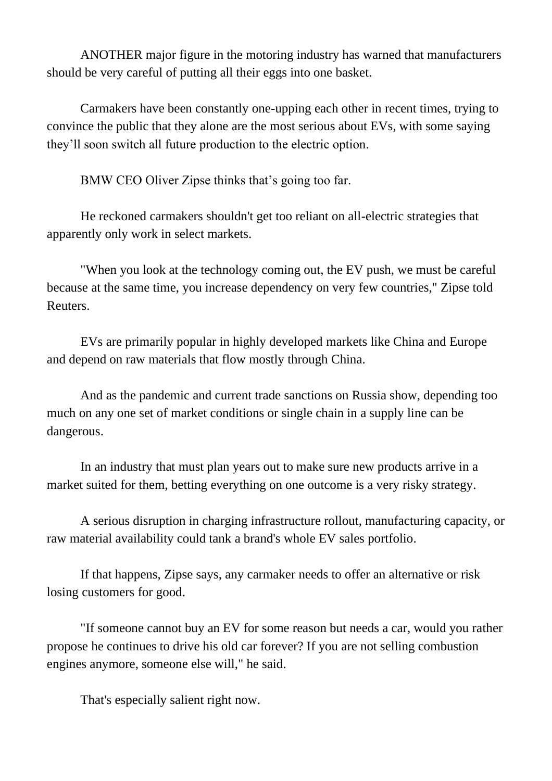ANOTHER major figure in the motoring industry has warned that manufacturers should be very careful of putting all their eggs into one basket.

Carmakers have been constantly one-upping each other in recent times, trying to convince the public that they alone are the most serious about EVs, with some saying they'll soon switch all future production to the electric option.

BMW CEO Oliver Zipse thinks that's going too far.

He reckoned carmakers shouldn't get too reliant on all-electric strategies that apparently only work in select markets.

"When you look at the technology coming out, the EV push, we must be careful because at the same time, you increase dependency on very few countries," Zipse told Reuters.

EVs are primarily popular in highly developed markets like China and Europe and depend on raw materials that flow mostly through China.

And as the pandemic and current trade sanctions on Russia show, depending too much on any one set of market conditions or single chain in a supply line can be dangerous.

In an industry that must plan years out to make sure new products arrive in a market suited for them, betting everything on one outcome is a very risky strategy.

A serious disruption in charging infrastructure rollout, manufacturing capacity, or raw material availability could tank a brand's whole EV sales portfolio.

If that happens, Zipse says, any carmaker needs to offer an alternative or risk losing customers for good.

"If someone cannot buy an EV for some reason but needs a car, would you rather propose he continues to drive his old car forever? If you are not selling combustion engines anymore, someone else will," he said.

That's especially salient right now.